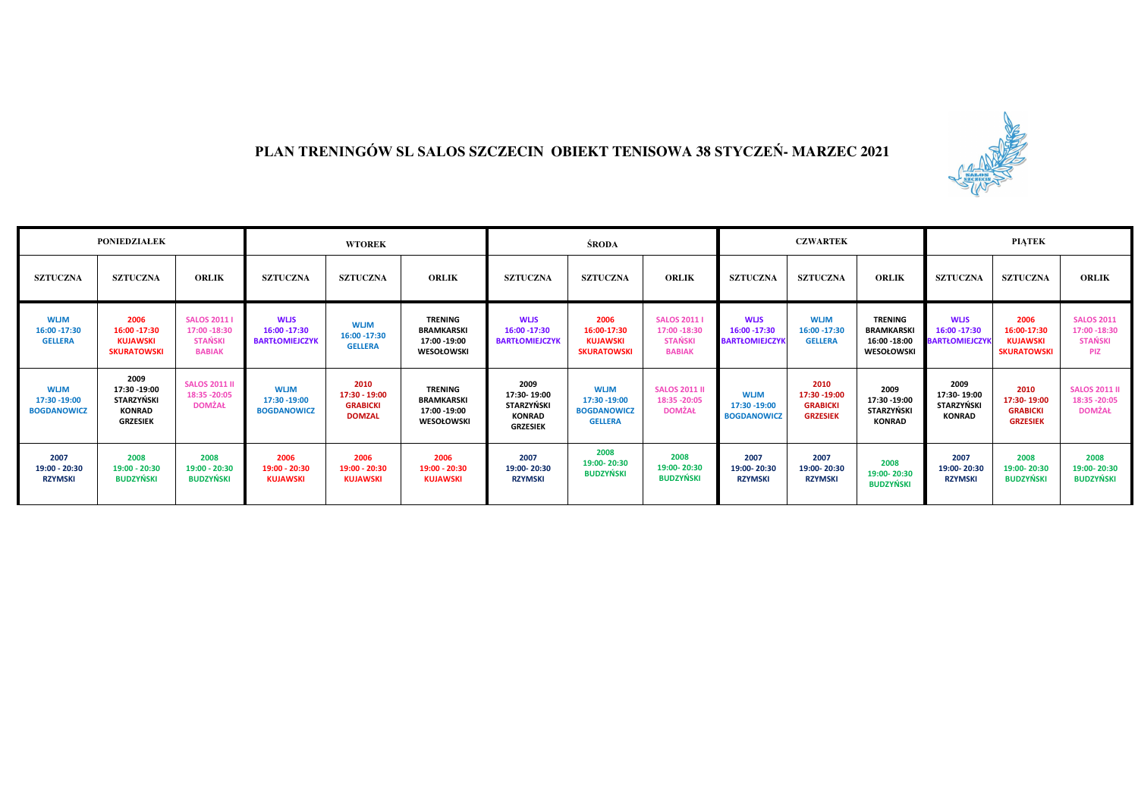

## **PLAN TRENINGÓW SL SALOS SZCZECIN OBIEKT TENISOWA 38 STYCZEŃ- MARZEC 2021**

| <b>PONIEDZIAŁEK</b>                               |                                                                                |                                                                      | <b>WTOREK</b>                                         |                                                           |                                                                          | <b>ŚRODA</b>                                                                 |                                                                     |                                                                        |                                                       | <b>CZWARTEK</b>                                             |                                                                  | <b>PIATEK</b>                                        |                                                              |                                                                    |
|---------------------------------------------------|--------------------------------------------------------------------------------|----------------------------------------------------------------------|-------------------------------------------------------|-----------------------------------------------------------|--------------------------------------------------------------------------|------------------------------------------------------------------------------|---------------------------------------------------------------------|------------------------------------------------------------------------|-------------------------------------------------------|-------------------------------------------------------------|------------------------------------------------------------------|------------------------------------------------------|--------------------------------------------------------------|--------------------------------------------------------------------|
| <b>SZTUCZNA</b>                                   | <b>SZTUCZNA</b>                                                                | <b>ORLIK</b>                                                         | <b>SZTUCZNA</b>                                       | <b>SZTUCZNA</b>                                           | <b>ORLIK</b>                                                             | <b>SZTUCZNA</b>                                                              | <b>SZTUCZNA</b>                                                     | <b>ORLIK</b>                                                           | <b>SZTUCZNA</b>                                       | <b>SZTUCZNA</b>                                             | <b>ORLIK</b>                                                     | <b>SZTUCZNA</b>                                      | <b>SZTUCZNA</b>                                              | <b>ORLIK</b>                                                       |
| <b>WUM</b><br>16:00 -17:30<br><b>GELLERA</b>      | 2006<br>16:00 - 17:30<br><b>KUJAWSKI</b><br><b>SKURATOWSKI</b>                 | <b>SALOS 2011</b><br>17:00 -18:30<br><b>STAŃSKI</b><br><b>BABIAK</b> | <b>WLIS</b><br>16:00 - 17:30<br><b>BARTŁOMIEJCZYK</b> | <b>WLJM</b><br>16:00 - 17:30<br><b>GELLERA</b>            | <b>TRENING</b><br><b>BRAMKARSKI</b><br>17:00 -19:00<br><b>WESOŁOWSKI</b> | <b>WLIS</b><br>16:00 -17:30<br><b>BARTŁOMIEJCZYK</b>                         | 2006<br>16:00-17:30<br><b>KUJAWSKI</b><br><b>SKURATOWSKI</b>        | <b>SALOS 2011  </b><br>17:00 -18:30<br><b>STANSKI</b><br><b>BABIAK</b> | <b>WLIS</b><br>16:00 - 17:30<br><b>BARTŁOMIEJCZYI</b> | <b>WLJM</b><br>16:00 - 17:30<br><b>GELLERA</b>              | <b>TRENING</b><br><b>BRAMKARSK</b><br>16:00 -18:00<br>WESOŁOWSKI | <b>WLIS</b><br>16:00 - 17:30<br><b>BARTŁOMIEJCZY</b> | 2006<br>16:00-17:30<br><b>KUJAWSKI</b><br><b>SKURATOWSKI</b> | <b>SALOS 2011</b><br>17:00 - 18:30<br><b>STANSKI</b><br><b>PIZ</b> |
| <b>WLJM</b><br>17:30 -19:00<br><b>BOGDANOWICZ</b> | 2009<br>17:30 - 19:00<br><b>STARZYŃSKI</b><br><b>KONRAD</b><br><b>GRZESIEK</b> | <b>SALOS 2011 II</b><br>18:35 - 20:05<br><b>DOMŻAŁ</b>               | <b>WLJM</b><br>17:30 - 19:00<br><b>BOGDANOWICZ</b>    | 2010<br>17:30 - 19:00<br><b>GRABICKI</b><br><b>DOMZAL</b> | <b>TRENING</b><br><b>BRAMKARSKI</b><br>17:00 -19:00<br>WESOŁOWSKI        | 2009<br>17:30-19:00<br><b>STARZYŃSKI</b><br><b>KONRAD</b><br><b>GRZESIEK</b> | <b>WLJM</b><br>17:30 -19:00<br><b>BOGDANOWICZ</b><br><b>GELLERA</b> | <b>SALOS 2011 II</b><br>18:35 - 20:05<br><b>DOMŻAŁ</b>                 | <b>WLJM</b><br>17:30 - 19:00<br><b>BOGDANOWICZ</b>    | 2010<br>17:30 - 19:00<br><b>GRABICKI</b><br><b>GRZESIEK</b> | 2009<br>17:30 - 19:00<br>STARZYŃSKI<br><b>KONRAD</b>             | 2009<br>17:30-19:00<br>STARZYŃSKI<br><b>KONRAD</b>   | 2010<br>17:30-19:00<br><b>GRABICKI</b><br><b>GRZESIEK</b>    | <b>SALOS 2011 II</b><br>18:35 - 20:05<br><b>DOMŻAŁ</b>             |
| 2007<br>19:00 - 20:30<br><b>RZYMSKI</b>           | 2008<br>19:00 - 20:30<br><b>BUDZYŃSKI</b>                                      | 2008<br>19:00 - 20:30<br><b>BUDZYŃSKI</b>                            | 2006<br>19:00 - 20:30<br><b>KUJAWSKI</b>              | 2006<br>19:00 - 20:30<br><b>KUJAWSKI</b>                  | 2006<br>19:00 - 20:30<br><b>KUJAWSKI</b>                                 | 2007<br>19:00-20:30<br><b>RZYMSKI</b>                                        | 2008<br>19:00-20:30<br><b>BUDZYŃSKI</b>                             | 2008<br>19:00-20:30<br><b>BUDZYŃSKI</b>                                | 2007<br>19:00-20:30<br><b>RZYMSKI</b>                 | 2007<br>19:00-20:30<br><b>RZYMSKI</b>                       | 2008<br>19:00-20:30<br><b>BUDZYŃSKI</b>                          | 2007<br>19:00-20:30<br><b>RZYMSKI</b>                | 2008<br>19:00-20:30<br><b>BUDZYŃSKI</b>                      | 2008<br>19:00-20:30<br><b>BUDZYŃSKI</b>                            |